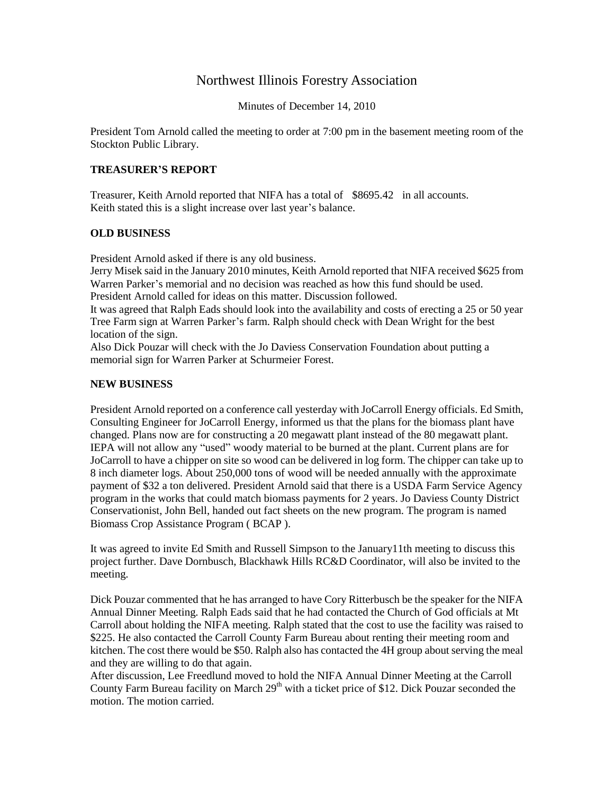## Northwest Illinois Forestry Association

Minutes of December 14, 2010

President Tom Arnold called the meeting to order at 7:00 pm in the basement meeting room of the Stockton Public Library.

## **TREASURER'S REPORT**

Treasurer, Keith Arnold reported that NIFA has a total of \$8695.42 in all accounts. Keith stated this is a slight increase over last year's balance.

## **OLD BUSINESS**

President Arnold asked if there is any old business.

Jerry Misek said in the January 2010 minutes, Keith Arnold reported that NIFA received \$625 from Warren Parker's memorial and no decision was reached as how this fund should be used. President Arnold called for ideas on this matter. Discussion followed.

It was agreed that Ralph Eads should look into the availability and costs of erecting a 25 or 50 year Tree Farm sign at Warren Parker's farm. Ralph should check with Dean Wright for the best location of the sign.

Also Dick Pouzar will check with the Jo Daviess Conservation Foundation about putting a memorial sign for Warren Parker at Schurmeier Forest.

## **NEW BUSINESS**

President Arnold reported on a conference call yesterday with JoCarroll Energy officials. Ed Smith, Consulting Engineer for JoCarroll Energy, informed us that the plans for the biomass plant have changed. Plans now are for constructing a 20 megawatt plant instead of the 80 megawatt plant. IEPA will not allow any "used" woody material to be burned at the plant. Current plans are for JoCarroll to have a chipper on site so wood can be delivered in log form. The chipper can take up to 8 inch diameter logs. About 250,000 tons of wood will be needed annually with the approximate payment of \$32 a ton delivered. President Arnold said that there is a USDA Farm Service Agency program in the works that could match biomass payments for 2 years. Jo Daviess County District Conservationist, John Bell, handed out fact sheets on the new program. The program is named Biomass Crop Assistance Program ( BCAP ).

It was agreed to invite Ed Smith and Russell Simpson to the January11th meeting to discuss this project further. Dave Dornbusch, Blackhawk Hills RC&D Coordinator, will also be invited to the meeting.

Dick Pouzar commented that he has arranged to have Cory Ritterbusch be the speaker for the NIFA Annual Dinner Meeting. Ralph Eads said that he had contacted the Church of God officials at Mt Carroll about holding the NIFA meeting. Ralph stated that the cost to use the facility was raised to \$225. He also contacted the Carroll County Farm Bureau about renting their meeting room and kitchen. The cost there would be \$50. Ralph also has contacted the 4H group about serving the meal and they are willing to do that again.

After discussion, Lee Freedlund moved to hold the NIFA Annual Dinner Meeting at the Carroll County Farm Bureau facility on March  $29<sup>th</sup>$  with a ticket price of \$12. Dick Pouzar seconded the motion. The motion carried.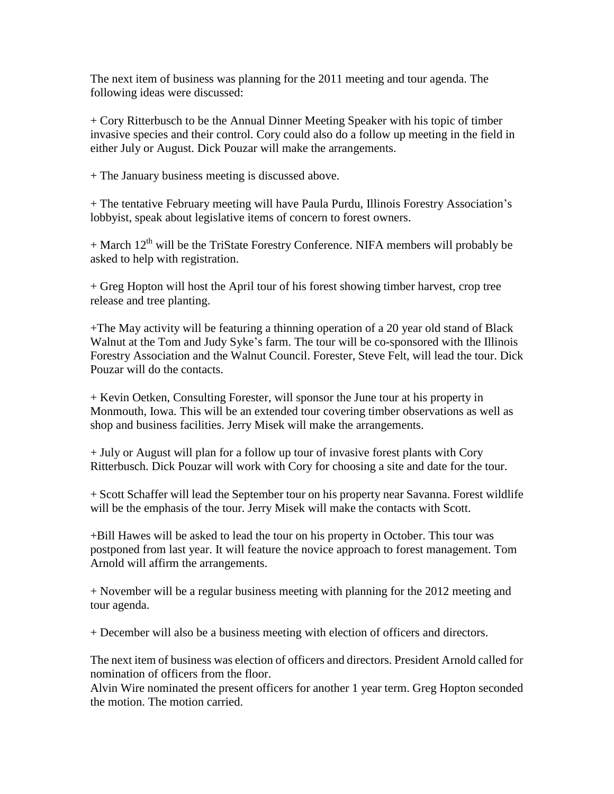The next item of business was planning for the 2011 meeting and tour agenda. The following ideas were discussed:

+ Cory Ritterbusch to be the Annual Dinner Meeting Speaker with his topic of timber invasive species and their control. Cory could also do a follow up meeting in the field in either July or August. Dick Pouzar will make the arrangements.

+ The January business meeting is discussed above.

+ The tentative February meeting will have Paula Purdu, Illinois Forestry Association's lobbyist, speak about legislative items of concern to forest owners.

 $+$  March 12<sup>th</sup> will be the TriState Forestry Conference. NIFA members will probably be asked to help with registration.

+ Greg Hopton will host the April tour of his forest showing timber harvest, crop tree release and tree planting.

+The May activity will be featuring a thinning operation of a 20 year old stand of Black Walnut at the Tom and Judy Syke's farm. The tour will be co-sponsored with the Illinois Forestry Association and the Walnut Council. Forester, Steve Felt, will lead the tour. Dick Pouzar will do the contacts.

+ Kevin Oetken, Consulting Forester, will sponsor the June tour at his property in Monmouth, Iowa. This will be an extended tour covering timber observations as well as shop and business facilities. Jerry Misek will make the arrangements.

+ July or August will plan for a follow up tour of invasive forest plants with Cory Ritterbusch. Dick Pouzar will work with Cory for choosing a site and date for the tour.

+ Scott Schaffer will lead the September tour on his property near Savanna. Forest wildlife will be the emphasis of the tour. Jerry Misek will make the contacts with Scott.

+Bill Hawes will be asked to lead the tour on his property in October. This tour was postponed from last year. It will feature the novice approach to forest management. Tom Arnold will affirm the arrangements.

+ November will be a regular business meeting with planning for the 2012 meeting and tour agenda.

+ December will also be a business meeting with election of officers and directors.

The next item of business was election of officers and directors. President Arnold called for nomination of officers from the floor.

Alvin Wire nominated the present officers for another 1 year term. Greg Hopton seconded the motion. The motion carried.